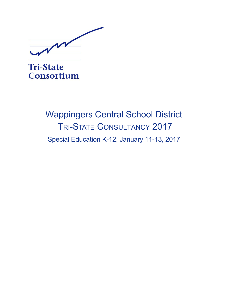MM

**Tri-State** Consortium

# Wappingers Central School District TRI-STATE CONSULTANCY 2017 Special Education K-12, January 11-13, 2017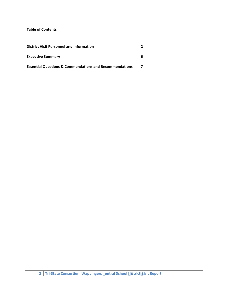# **Table of Contents**

| <b>District Visit Personnel and Information</b>                    |  |
|--------------------------------------------------------------------|--|
| <b>Executive Summary</b>                                           |  |
| <b>Essential Questions &amp; Commendations and Recommendations</b> |  |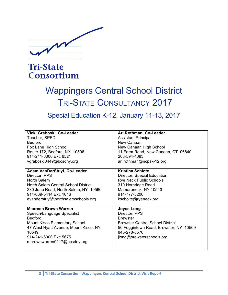

# **Tri-State** Consortium

# Wappingers Central School District TRI-STATE CONSULTANCY 2017

# Special Education K-12, January 11-13, 2017

| Vicki Graboski, Co-Leader                                                                                                                                                                                                      | Ari Rothman, Co-Leader                                                                                                                                                                  |
|--------------------------------------------------------------------------------------------------------------------------------------------------------------------------------------------------------------------------------|-----------------------------------------------------------------------------------------------------------------------------------------------------------------------------------------|
| Teacher, SPED                                                                                                                                                                                                                  | <b>Assistant Principal</b>                                                                                                                                                              |
| <b>Bedford</b>                                                                                                                                                                                                                 | New Canaan                                                                                                                                                                              |
| Fox Lane High School                                                                                                                                                                                                           | New Canaan High School                                                                                                                                                                  |
| Route 172, Bedford, NY 10506                                                                                                                                                                                                   | 11 Farm Road, New Canaan, CT 06840                                                                                                                                                      |
| 914-241-6000 Ext: 6521                                                                                                                                                                                                         | 203-594-4683                                                                                                                                                                            |
| vgraboski0449@bcsdny.org                                                                                                                                                                                                       | ari.rothman@ncpsk-12.org                                                                                                                                                                |
| <b>Adam VanDerStuyf, Co-Leader</b>                                                                                                                                                                                             | <b>Kristina Schlote</b>                                                                                                                                                                 |
| Director, PPS                                                                                                                                                                                                                  | Director, Special Education                                                                                                                                                             |
| North Salem                                                                                                                                                                                                                    | <b>Rye Neck Public Schools</b>                                                                                                                                                          |
| North Salem Central School District                                                                                                                                                                                            | 310 Hornridge Road                                                                                                                                                                      |
| 230 June Road, North Salem, NY 10560                                                                                                                                                                                           | Mamaroneck, NY 10543                                                                                                                                                                    |
| 914-669-5414 Ext. 1016                                                                                                                                                                                                         | 914-777-5200                                                                                                                                                                            |
| avanderstuyf@northsalemschools.org                                                                                                                                                                                             | kscholte@ryeneck.org                                                                                                                                                                    |
| <b>Maureen Brown Warren</b><br>Speech/Language Specialist<br><b>Bedford</b><br><b>Mount Kisco Elementary School</b><br>47 West Hyatt Avenue, Mount Kisco, NY<br>10549<br>914-241-6000 Ext: 5675<br>mbrownwarren0117@bcsdny.org | <b>Joyce Long</b><br>Director, PPS<br><b>Brewster</b><br><b>Brewster Central School District</b><br>50 Foggintown Road, Brewster, NY 10509<br>845-278-8570<br>jlong@brewsterschools.org |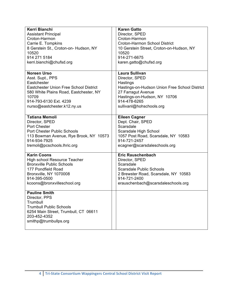| Kerri Bianchi                                                                                                                                                        | <b>Karen Gatto</b>                            |
|----------------------------------------------------------------------------------------------------------------------------------------------------------------------|-----------------------------------------------|
| <b>Assistant Principal</b>                                                                                                                                           | Director, SPED                                |
| Croton-Harmon                                                                                                                                                        | Croton-Harmon                                 |
| Carrie E. Tompkins                                                                                                                                                   | <b>Croton-Harmon School District</b>          |
| 8 Gerstein St., Croton-on- Hudson, NY                                                                                                                                | 10 Gerstein Street, Croton-on-Hudson, NY      |
| 10520                                                                                                                                                                | 10520                                         |
| 914 271 5184                                                                                                                                                         | 914-271-6675                                  |
| kerri.bianchi@chufsd.org                                                                                                                                             | karen.gatto@chufsd.org                        |
| <b>Noreen Urso</b>                                                                                                                                                   | <b>Laura Sullivan</b>                         |
| Asst. Supt., PPS                                                                                                                                                     | Director, SPED                                |
| Eastchester                                                                                                                                                          | Hastings                                      |
| <b>Eastchester Union Free School District</b>                                                                                                                        | Hastings-on-Hudson Union Free School District |
| 580 White Plains Road, Eastchester, NY                                                                                                                               | 27 Farragut Avenue                            |
| 10709                                                                                                                                                                | Hastings-on-Hudson, NY 10706                  |
| 914-793-6130 Ext. 4239                                                                                                                                               | 914-478-6265                                  |
| nurso@eastchester.k12.ny.us                                                                                                                                          | sullivanl@hohschools.org                      |
| <b>Tatiana Memoli</b>                                                                                                                                                | <b>Eileen Cagner</b>                          |
| Director, SPED                                                                                                                                                       | Dept. Chair, SPED                             |
| Port Chester                                                                                                                                                         | Scarsdale                                     |
| Port Chester Public Schools                                                                                                                                          | Scarsdale High School                         |
| 113 Bowman Avenue, Rye Brook, NY 10573                                                                                                                               | 1057 Post Road, Scarsdale, NY 10583           |
| 914-934-7925                                                                                                                                                         | 914-721-2457                                  |
| tremoli@pcschools.lhric.org                                                                                                                                          | ecagner@scarsdaleschools.org                  |
| <b>Karin Coons</b>                                                                                                                                                   | <b>Eric Rauschenbach</b>                      |
| High school Resource Teacher                                                                                                                                         | Director, SPED                                |
| <b>Bronxville Public Schools</b>                                                                                                                                     | Scarsdale                                     |
| 177 Pondfield Road                                                                                                                                                   | <b>Scarsdale Public Schools</b>               |
| Bronxville, NY 1070008                                                                                                                                               | 2 Brewster Road, Scarsdale, NY 10583          |
| 914-395-0500                                                                                                                                                         | 914-721-2400                                  |
| kcoons@bronxvilleschool.org                                                                                                                                          | erauschenbach@scarsdaleschools.org            |
| <b>Pauline Smith</b><br>Director, PPS<br>Trumbull<br><b>Trumbull Public Schools</b><br>6254 Main Street, Trumbull, CT 06611<br>203-452-4352<br>smithp@trumbullps.org |                                               |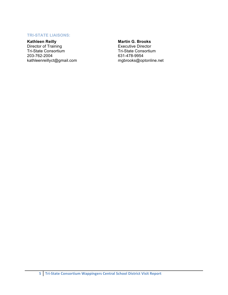#### **TRI-STATE LIAISONS:**

**Kathleen Reilly**<br>Director of Training Tri-State Consortium 203-762-2004 kathleenreillyct@gmail.com

#### **Martin G. Brooks**

**Executive Director Tri-State Consortium** 631-478-9954 mgbrooks@optonline.net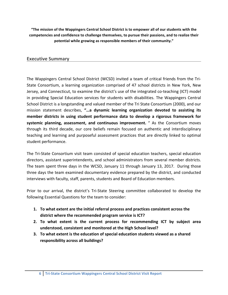"The mission of the Wappingers Central School District is to empower all of our students with the competencies and confidence to challenge themselves, to pursue their passions, and to realize their potential while growing as responsible members of their community."

# **Executive Summary**

The Wappingers Central School District (WCSD) invited a team of critical friends from the Tri-State Consortium, a learning organization comprised of 47 school districts in New York, New Jersey, and Connecticut, to examine the district's use of the integrated co-teaching (ICT) model in providing Special Education services for students with disabilities. The Wappingers Central School District is a longstanding and valued member of the Tri State Consortium (2000), and our mission statement describes, "...a dynamic learning organization devoted to assisting its member districts in using student performance data to develop a rigorous framework for systemic planning, assessment, and continuous improvement. " As the Consortium moves through its third decade, our core beliefs remain focused on authentic and interdisciplinary teaching and learning and purposeful assessment practices that are directly linked to optimal student performance.

The Tri-State Consortium visit team consisted of special education teachers, special education directors, assistant superintendents, and school administrators from several member districts. The team spent three days in the WCSD, January 11 through January 13, 2017. During those three days the team examined documentary evidence prepared by the district, and conducted interviews with faculty, staff, parents, students and Board of Education members.

Prior to our arrival, the district's Tri-State Steering committee collaborated to develop the following Essential Questions for the team to consider:

- 1. To what extent are the initial referral process and practices consistent across the district where the recommended program service is ICT?
- 2. To what extent is the current process for recommending ICT by subject area understood, consistent and monitored at the High School level?
- 3. To what extent is the education of special education students viewed as a shared responsibility across all buildings?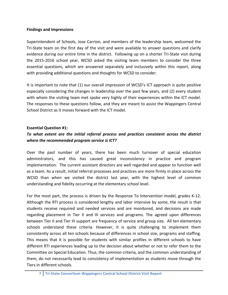### **Findings and Impressions**

Superintendent of Schools, Jose Carrion, and members of the leadership team, welcomed the Tri-State team on the first day of the visit and were available to answer questions and clarify evidence during our entire time in the district. Following up on a shorter Tri-State visit during the 2015-2016 school year, WCSD asked the visiting team members to consider the three essential questions, which are answered separately and inclusively within this report, along with providing additional questions and thoughts for WCSD to consider.

It is important to note that (1) our overall impression of WCSD's ICT approach is quite positive especially considering the changes in leadership over the past few years, and (2) every student with whom the visiting team met spoke very highly of their experiences within the ICT model. The responses to these questions follow, and they are meant to assist the Wappingers Central School District as it moves forward with the ICT model.

# **Essential Question #1:**

# To what extent are the initial referral process and practices consistent across the district where the recommended program service is ICT?

Over the past number of years, there has been much turnover of special education administrators, and this has caused great inconsistency in practice and program implementation. The current assistant directors are well regarded and appear to function well as a team. As a result, initial referral processes and practices are more firmly in place across the WCSD than when we visited the district last year, with the highest level of common understanding and fidelity occurring at the elementary school level.

For the most part, the process is driven by the Response To Intervention model, grades K-12. Although the RTI process is considered lengthy and labor intensive by some, the result is that students receive required and needed services and are monitored, and decisions are made regarding placement in Tier II and III services and programs. The agreed upon differences between Tier II and Tier III support are frequency of service and group size. All ten elementary schools understand these criteria. However, it is quite challenging to implement them consistently across all ten schools because of differences in school size, programs and staffing. This means that it is possible for students with similar profiles in different schools to have different RTI experiences leading up to the decision about whether or not to refer them to the Committee on Special Education. Thus, the common criteria, and the common understanding of them, do not necessarily lead to consistency of implementation as students move through the Tiers in different schools.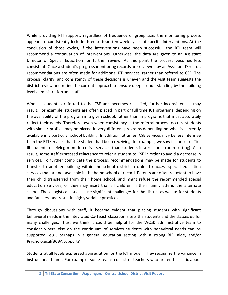While providing RTI support, regardless of frequency or group size, the monitoring process appears to consistently include three to four, ten-week cycles of specific interventions. At the conclusion of those cycles, if the interventions have been successful, the RTI team will recommend a continuation of interventions. Otherwise, the data are given to an Assistant Director of Special Education for further review. At this point the process becomes less consistent. Once a student's progress monitoring records are reviewed by an Assistant Director, recommendations are often made for additional RTI services, rather than referral to CSE. The process, clarity, and consistency of these decisions is uneven and the visit team suggests the district review and refine the current approach to ensure deeper understanding by the building level administration and staff.

When a student is referred to the CSE and becomes classified, further inconsistencies may result. For example, students are often placed in part or full time ICT programs, depending on the availability of the program in a given school, rather than in programs that most accurately reflect their needs. Therefore, even when consistency in the referral process occurs, students with similar profiles may be placed in very different programs depending on what is currently available in a particular school building. In addition, at times, CSE services may be less intensive than the RTI services that the student had been receiving (for example, we saw instances of Tier III students receiving more intensive services than students in a resource room setting). As a result, some staff expressed reluctance to refer a student to CSE in order to avoid a decrease in services. To further complicate the process, recommendations may be made for students to transfer to another building within the school district in order to access special education services that are not available in the home school of record. Parents are often reluctant to have their child transferred from their home school, and might refuse the recommended special education services, or they may insist that all children in their family attend the alternate school. These logistical issues cause significant challenges for the district as well as for students and families, and result in highly variable practices.

Through discussions with staff, it became evident that placing students with significant behavioral needs in the Integrated Co-Teach classrooms sets the students and the classes up for many challenges. Thus, we think it could be helpful for the WCSD administrative team to consider where else on the continuum of services students with behavioral needs can be supported: e.g., perhaps in a general education setting with a strong BIP, aide, and/or Psychological/BCBA support?

Students at all levels expressed appreciation for the ICT model. They recognize the variance in instructional teams. For example, some teams consist of teachers who are enthusiastic about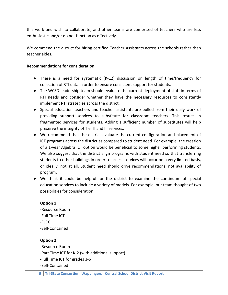this work and wish to collaborate, and other teams are comprised of teachers who are less enthusiastic and/or do not function as effectively.

We commend the district for hiring certified Teacher Assistants across the schools rather than teacher aides.

## **Recommendations for consideration:**

- There is a need for systematic (K-12) discussion on length of time/frequency for collection of RTI data in order to ensure consistent support for students.
- The WCSD leadership team should evaluate the current deployment of staff in terms of RTI needs and consider whether they have the necessary resources to consistently implement RTI strategies across the district.
- Special education teachers and teacher assistants are pulled from their daily work of providing support services to substitute for classroom teachers. This results in fragmented services for students. Adding a sufficient number of substitutes will help preserve the integrity of Tier II and III services.
- We recommend that the district evaluate the current configuration and placement of ICT programs across the district as compared to student need. For example, the creation of a 1-year Algebra ICT option would be beneficial to some higher performing students. We also suggest that the district align programs with student need so that transferring students to other buildings in order to access services will occur on a very limited basis, or ideally, not at all. Student need should drive recommendations, not availability of program.
- We think it could be helpful for the district to examine the continuum of special education services to include a variety of models. For example, our team thought of two possibilities for consideration:

### **Option 1**

-Resource Room -Full Time ICT :FLEX :Self:Contained

# **Option 2**

-Resource Room -Part Time ICT for K-2 (with additional support) -Full Time ICT for grades 3-6 :Self:Contained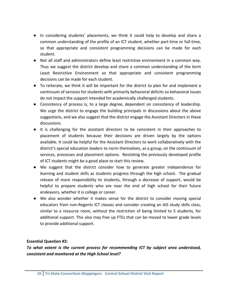- In considering students' placements, we think it could help to develop and share a common understanding of the profile of an ICT student, whether part-time or full-time, so that appropriate and consistent programming decisions can be made for each student.
- Not all staff and administrators define least restrictive environment in a common way. Thus we suggest the district develop and share a common understanding of the term Least Restrictive Environment so that appropriate and consistent programming decisions can be made for each student.
- To reiterate, we think it will be important for the district to plan for and implement a continuum of services for students with primarily behavioral deficits so behavioral issues do not impact the support intended for academically challenged students.
- Consistency of process is, to a large degree, dependent on consistency of leadership. We urge the district to engage the building principals in discussions about the above suggestions, and we also suggest that the district engage the Assistant Directors in these discussions.!!
- It is challenging for the assistant directors to be consistent in their approaches to placement of students because their decisions are driven largely by the options available. It could be helpful for the Assistant Directors to work collaboratively with the district's special education leaders to norm themselves, as a group, on the continuum of services, processes and placement options. Revisiting the previously developed profile of ICT students might be a good place to start this review.
- We suggest that the district consider how to generate greater independence for learning and student skills as students progress through the high school. The gradual release of more responsibility to students, through a decrease of support, would be helpful to prepare students who are near the end of high school for their future endeavors, whether it is college or career.
- We also wonder whether it makes sense for the district to consider moving special educators from non-Regents ICT classes and consider creating an AIS study skills class, similar to a resource room, without the restriction of being limited to 5 students, for additional support. This also may free up FTEs that can be moved to lower grade levels to provide additional support.

### **Essential Question #2:**

*To what extent is the current process for recommending ICT by subject area understood,* consistent and monitored at the High School level?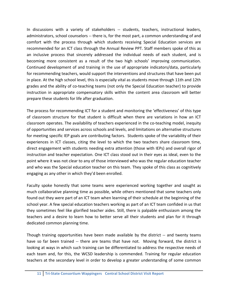In discussions with a variety of stakeholders -- students, teachers, instructional leaders, administrators, school counselors -- there is, for the most part, a common understanding of and comfort with the process through which students receiving Special Education services are recommended for an ICT class through the Annual Review PPT. Staff members spoke of this as an inclusive process that sincerely addressed the individual needs of each student, and is becoming more consistent as a result of the two high schools' improving communication. Continued development of and training in the use of appropriate indicators/data, particularly for recommending teachers, would support the interventions and structures that have been put in place. At the high school level, this is especially vital as students move through 11th and 12th grades and the ability of co-teaching teams (not only the Special Education teacher) to provide instruction in appropriate compensatory skills within the content area classroom will better prepare these students for life after graduation.

The process for recommending ICT for a student and monitoring the 'effectiveness' of this type of classroom structure for that student is difficult when there are variations in how an ICT classroom operates. The availability of teachers experienced in the co-teaching model, inequity of opportunities and services across schools and levels, and limitations on alternative structures for meeting specific IEP goals are contributing factors. Students spoke of the variability of their experiences in ICT classes, citing the level to which the two teachers share classroom time, direct engagement with students needing extra attention (those with IEPs) and overall rigor of instruction and teacher expectation. One ICT class stood out in their eyes as ideal, even to the point where it was not clear to any of those interviewed who was the regular education teacher and who was the Special education teacher on this team. They spoke of this class as cognitively engaging as any other in which they'd been enrolled.

Faculty spoke honestly that some teams were experienced working together and sought as much collaborative planning time as possible, while others mentioned that some teachers only found out they were part of an ICT team when learning of their schedule at the beginning of the school year. A few special education teachers working as part of an ICT team confided in us that they sometimes feel like glorified teacher aides. Still, there is palpable enthusiasm among the teachers and a desire to learn how to better serve all their students and plan for it through dedicated common planning time.

Though training opportunities have been made available by the district -- and twenty teams have so far been trained -- there are teams that have not. Moving forward, the district is looking at ways in which such training can be differentiated to address the respective needs of each team and, for this, the WCSD leadership is commended. Training for regular education teachers at the secondary level in order to develop a greater understanding of some common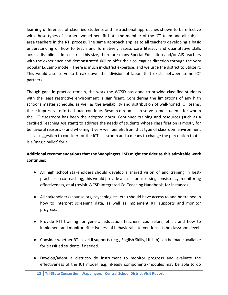learning differences of classified students and instructional approaches shown to be effective with these types of learners would benefit both the member of the ICT team and all subject area teachers in the RTI process. The same approach applies to all teachers developing a basic understanding of how to teach and formatively assess core literacy and quantitative skills across disciplines. In a district this size, there are many Special Education and/or AIS teachers with the experience and demonstrated skill to offer their colleagues direction through the very popular EdCamp model. There is much in-district expertise, and we urge the district to utilize it. This would also serve to break down the 'division of labor' that exists between some ICT partners.

Though gaps in practice remain, the work the WCSD has done to provide classified students with the least restrictive environment is significant. Considering the limitations of any high school's master schedule, as well as the availability and distribution of well-honed ICT teams, these impressive efforts should continue. Resource rooms can serve some students for whom the ICT classroom has been the adopted norm. Continued training and resources (such as a certified Teaching Assistant) to address the needs of students whose classification is mostly for behavioral reasons -- and who might very well benefit from that type of classroom environment  $-$  is a suggestion to consider for the ICT classroom and a means to change the perception that it is a 'magic bullet' for all.

# Additional recommendations that the Wappingers CSD might consider as this admirable work **continues:**

- All high school stakeholders should develop a shared vision of and training in bestpractices in co-teaching; this would provide a basis for assessing consistency, monitoring effectiveness, et al (revisit WCSD Integrated Co-Teaching Handbook, for instance)
- All stakeholders (counselors, psychologists, etc.) should have access to and be trained in how to interpret screening data, as well as implement RTI supports and monitor progress.
- Provide RTI training for general education teachers, counselors, et al, and how to implement and monitor effectiveness of behavioral interventions at the classroom level.
- Consider whether RTI Level II supports (e.g., English Skills, Lit Lab) can be made available for classified students if needed.
- Develop/adopt a district-wide instrument to monitor progress and evaluate the effectiveness of the ICT model (e.g., iReady components/modules may be able to do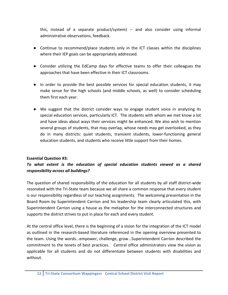this, instead of a separate product/system) -- and also consider using informal administrative observations, feedback.

- Continue to recommend/place students only in the ICT classes within the disciplines where their IEP goals can be appropriately addressed.
- Consider utilizing the EdCamp days for effective teams to offer their colleagues the approaches that have been effective in their ICT classrooms.
- In order to provide the best possible services for special education students, it may make sense for the high schools (and middle schools, as well) to consider scheduling them first each year.
- We suggest that the district consider ways to engage student voice in analyzing its special education services, particularly ICT. The students with whom we met know a lot and have ideas about ways their services might be enhanced. We also wish to mention several groups of students, that may overlap, whose needs may get overlooked, as they do in many districts: quiet students, transient students, lower-functioning general education students, and students who receive little support from their homes.

### **Essential Question #3:**

# To what extent is the education of special education students viewed as a shared *responsibility#across#all#buildings?*

The question of shared responsibility of the education for all students by all staff district-wide resonated with the Tri-State team because we all share a common response that every student is our responsibility regardless of our teaching assignments. The welcoming presentation in the Board Room by Superintendent Carrion and his leadership team clearly articulated this, with Superintendent Carrion using a house as the metaphor for the interconnected structures and supports the district strives to put in place for each and every student.

At the central office level, there is the beginning of a vision for the integration of the ICT model as outlined in the research-based literature referenced in the opening overview presented to the team. Using the words...empower, challenge, grow...Superintendent Carrion described the commitment to the tenets of best practices. Central office administrators view the vision as applicable for all students and do not differentiate between students with disabilities and without.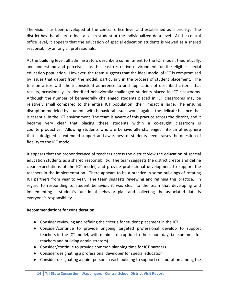The vision has been developed at the central office level and established as a priority. The district has the ability to look at each student at the individualized data level. At the central office level, it appears that the education of special education students is viewed as a shared responsibility among all professionals.

At the building level, all administrators describe a commitment to the ICT model, theoretically, and understand and perceive it as the least restrictive environment for the eligible special education population. However, the team suggests that the ideal model of ICT is compromised by issues that depart from the model, particularly in the process of student placement. The tension arises with the inconsistent adherence to and application of described criteria that results, occasionally, in identified behaviorally challenged students placed in ICT classrooms. Although the number of behaviorally challenged students placed in ICT classrooms may be relatively small compared to the entire ICT population, their impact is large. The ensuing disruption modeled by students with behavioral issues works against the delicate balance that is essential in the ICT environment. The team is aware of this practice across the district, and it became very clear that placing these students within a co-taught classroom is counterproductive. Allowing students who are behaviorally challenged into an atmosphere that is designed as extended support and awareness of students needs raises the question of fidelity to the ICT model.

It appears that the preponderance of teachers across the district view the education of special education students as a shared responsibility. The team suggests the district create and define clear expectations of the ICT model, and provide professional development to support the teachers in the implementation. There appears to be a practice in some buildings of rotating ICT partners from year to year. The team suggests reviewing and refining this practice. In regard to responding to student behavior, it was clear to the team that developing and implementing a student's functional behavior plan and collecting the associated data is everyone's responsibility.

# **Recommendations for consideration:**

- Consider reviewing and refining the criteria for student placement in the ICT.
- Consider/continue to provide ongoing targeted professional develop to support teachers in the ICT model, with minimal disruption to the school day, i.e. summer (for teachers and building administrators)
- Consider/continue to provide common planning time for ICT partners
- Consider designating a professional developer for special education
- Consider designating a point person in each building to support collaboration among the